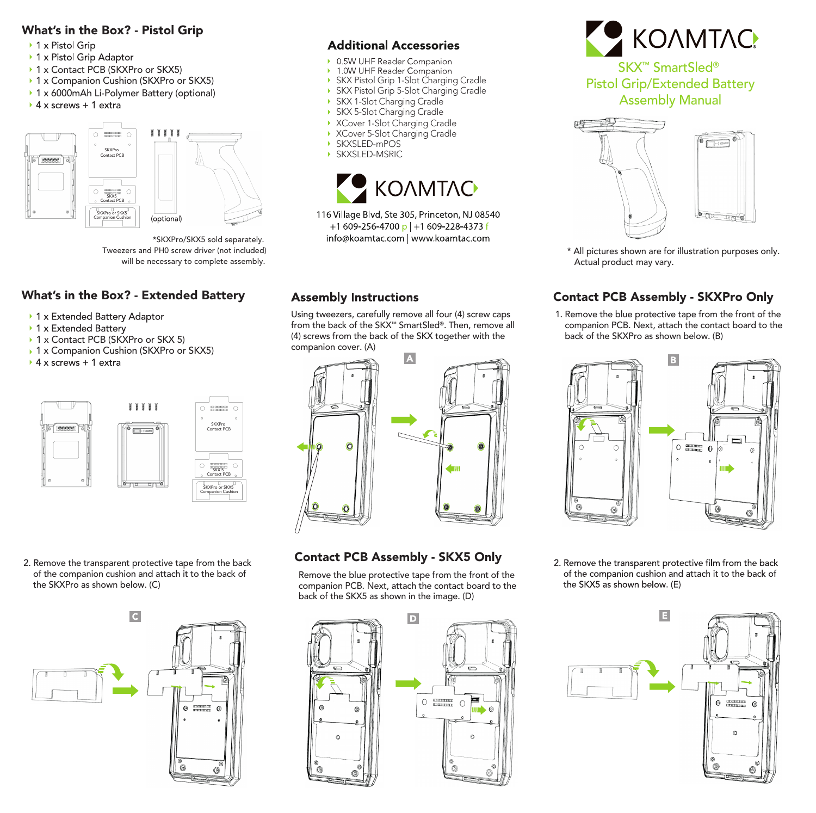### What's in the Box? - Pistol Grip

- ▶ 1 x Pistol Grip
- ▶ 1 x Pistol Grip Adaptor
- ▶ 1 x Contact PCB (SKXPro or SKX5)
- ▶ 1 x Companion Cushion (SKXPro or SKX5)
- ▶ 1 x 6000mAh Li-Polymer Battery (optional)
- $\rightarrow$  4 x screws + 1 extra



\*SKXPro/SKX5 sold separately. Tweezers and PH0 screw driver (not included) will be necessary to complete assembly.

## What's in the Box? - Extended Battery

- ▶ 1 x Extended Battery Adaptor
- ▶ 1 x Extended Battery
- ▶ 1 x Contact PCB (SKXPro or SKX 5)
- ▶ 1 x Companion Cushion (SKXPro or SKX5)<br>▶ 4 x screws + 1 extra
- 



 of the companion cushion and attach it to the back of the SKXPro as shown below. (C)



## **Additional Accessories**

- ▶ 0.5W UHF Reader Companion
- 1.0W UHF Reader Companion
- SKX Pistol Grip 1-Slot Charging Cradle
- SKX Pistol Grip 5-Slot Charging Cradle  $\mathbf{v}$
- SKX 1-Slot Charging Cradle
- SKX 5-Slot Charging Cradle
- XCover 1-Slot Charging Cradle
- XCover 5-Slot Charging Cradle
- SKXSLED-mPOS
- $\mathbf{y}$ SKXSLED-MSRIC



116 Village Blvd, Ste 305, Princeton, NJ 08540 +1 609-256-4700 p +1 609-228-4373 f info@koamtac.com | www.koamtac.com

## **Assembly Instructions**

Using tweezers, carefully remove all four (4) screw caps from the back of the SKX™ SmartSled®. Then, remove all (4) screws from the back of the SKX together with the



# 2. Remove the transparent protective tape from the back **Contact PCB Assembly - SKX5 Only**

 Remove the blue protective tape from the front of the companion PCB. Next, attach the contact board to the back of the SKX5 as shown in the image. (D)



╘

 $\blacksquare$ 



Pistol Grip/Extended Battery Assembly Manual



\* All pictures shown are for illustration purposes only. Actual product may vary.

# Contact PCB Assembly - SKXPro Only

1. Remove the blue protective tape from the front of the companion PCB. Next, attach the contact board to the back of the SKXPro as shown below. (B)



2. Remove the transparent protective film from the back of the companion cushion and attach it to the back of the SKX5 as shown below. (E)



- 
- 

companion cover. (A)